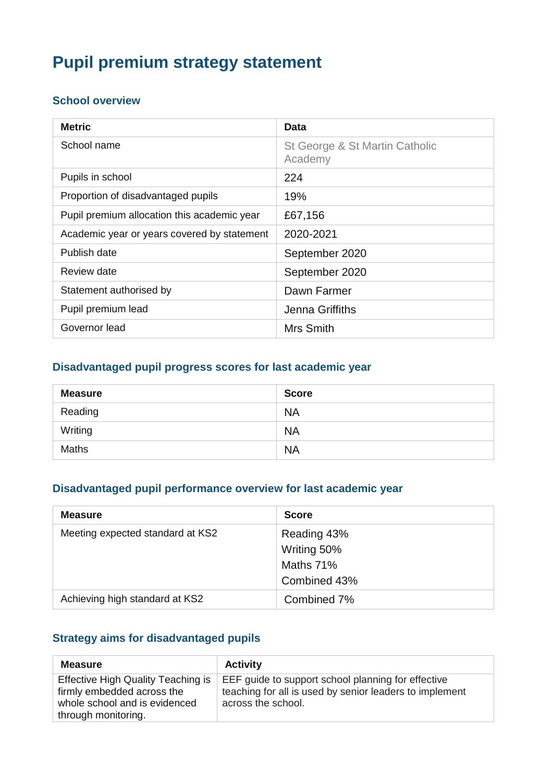# **Pupil premium strategy statement**

#### **School overview**

| <b>Metric</b>                               | Data                                      |
|---------------------------------------------|-------------------------------------------|
| School name                                 | St George & St Martin Catholic<br>Academy |
| Pupils in school                            | 224                                       |
| Proportion of disadvantaged pupils          | 19%                                       |
| Pupil premium allocation this academic year | £67,156                                   |
| Academic year or years covered by statement | 2020-2021                                 |
| Publish date                                | September 2020                            |
| Review date                                 | September 2020                            |
| Statement authorised by                     | Dawn Farmer                               |
| Pupil premium lead                          | Jenna Griffiths                           |
| Governor lead                               | Mrs Smith                                 |

#### **Disadvantaged pupil progress scores for last academic year**

| <b>Measure</b> | <b>Score</b> |
|----------------|--------------|
| Reading        | <b>NA</b>    |
| Writing        | <b>NA</b>    |
| <b>Maths</b>   | <b>NA</b>    |

#### **Disadvantaged pupil performance overview for last academic year**

| <b>Measure</b>                   | <b>Score</b>               |
|----------------------------------|----------------------------|
| Meeting expected standard at KS2 | Reading 43%<br>Writing 50% |
|                                  | Maths 71%<br>Combined 43%  |
| Achieving high standard at KS2   | Combined 7%                |

### **Strategy aims for disadvantaged pupils**

| <b>Measure</b>                                                                                                                  | <b>Activity</b>                                                                                                                     |
|---------------------------------------------------------------------------------------------------------------------------------|-------------------------------------------------------------------------------------------------------------------------------------|
| <b>Effective High Quality Teaching is</b><br>firmly embedded across the<br>whole school and is evidenced<br>through monitoring. | EEF guide to support school planning for effective<br>teaching for all is used by senior leaders to implement<br>across the school. |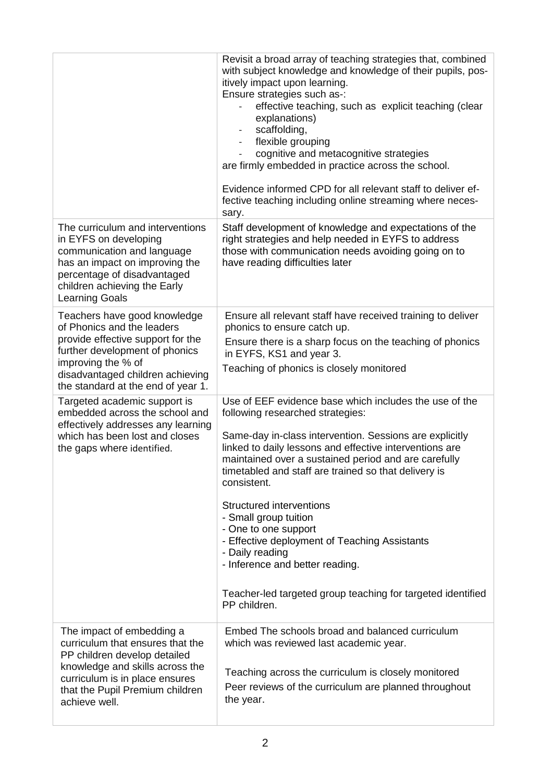|                                                                                                                                                                                                                                   | Revisit a broad array of teaching strategies that, combined<br>with subject knowledge and knowledge of their pupils, pos-<br>itively impact upon learning.<br>Ensure strategies such as-:<br>effective teaching, such as explicit teaching (clear<br>explanations)<br>scaffolding,<br>$\overline{\phantom{a}}$<br>flexible grouping<br>$\blacksquare$<br>cognitive and metacognitive strategies<br>are firmly embedded in practice across the school.<br>Evidence informed CPD for all relevant staff to deliver ef-<br>fective teaching including online streaming where neces-<br>sary.                          |
|-----------------------------------------------------------------------------------------------------------------------------------------------------------------------------------------------------------------------------------|--------------------------------------------------------------------------------------------------------------------------------------------------------------------------------------------------------------------------------------------------------------------------------------------------------------------------------------------------------------------------------------------------------------------------------------------------------------------------------------------------------------------------------------------------------------------------------------------------------------------|
| The curriculum and interventions<br>in EYFS on developing<br>communication and language<br>has an impact on improving the<br>percentage of disadvantaged<br>children achieving the Early<br><b>Learning Goals</b>                 | Staff development of knowledge and expectations of the<br>right strategies and help needed in EYFS to address<br>those with communication needs avoiding going on to<br>have reading difficulties later                                                                                                                                                                                                                                                                                                                                                                                                            |
| Teachers have good knowledge<br>of Phonics and the leaders<br>provide effective support for the<br>further development of phonics<br>improving the % of<br>disadvantaged children achieving<br>the standard at the end of year 1. | Ensure all relevant staff have received training to deliver<br>phonics to ensure catch up.<br>Ensure there is a sharp focus on the teaching of phonics<br>in EYFS, KS1 and year 3.<br>Teaching of phonics is closely monitored                                                                                                                                                                                                                                                                                                                                                                                     |
| Targeted academic support is<br>embedded across the school and<br>effectively addresses any learning<br>which has been lost and closes<br>the gaps where identified.                                                              | Use of EEF evidence base which includes the use of the<br>following researched strategies:<br>Same-day in-class intervention. Sessions are explicitly<br>linked to daily lessons and effective interventions are<br>maintained over a sustained period and are carefully<br>timetabled and staff are trained so that delivery is<br>consistent.<br>Structured interventions<br>- Small group tuition<br>- One to one support<br>- Effective deployment of Teaching Assistants<br>- Daily reading<br>- Inference and better reading.<br>Teacher-led targeted group teaching for targeted identified<br>PP children. |
| The impact of embedding a<br>curriculum that ensures that the<br>PP children develop detailed<br>knowledge and skills across the<br>curriculum is in place ensures<br>that the Pupil Premium children<br>achieve well.            | Embed The schools broad and balanced curriculum<br>which was reviewed last academic year.<br>Teaching across the curriculum is closely monitored<br>Peer reviews of the curriculum are planned throughout<br>the year.                                                                                                                                                                                                                                                                                                                                                                                             |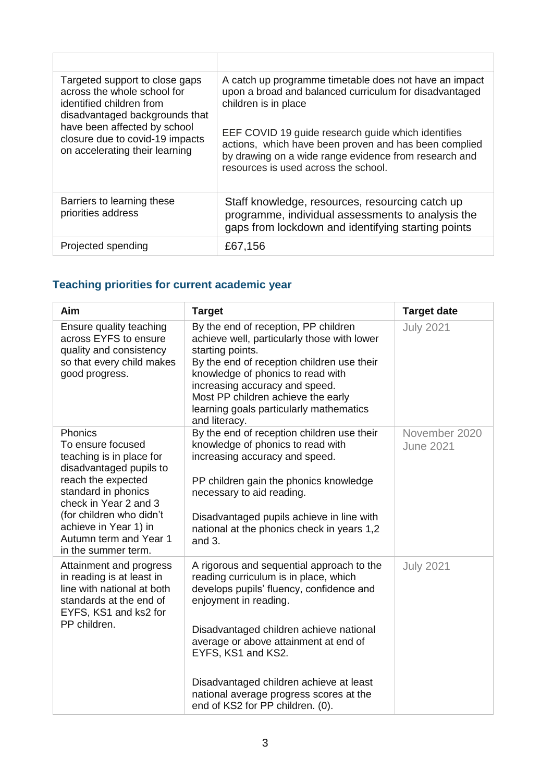| Targeted support to close gaps<br>across the whole school for<br>identified children from<br>disadvantaged backgrounds that | A catch up programme timetable does not have an impact<br>upon a broad and balanced curriculum for disadvantaged<br>children is in place                                                                     |
|-----------------------------------------------------------------------------------------------------------------------------|--------------------------------------------------------------------------------------------------------------------------------------------------------------------------------------------------------------|
| have been affected by school<br>closure due to covid-19 impacts<br>on accelerating their learning                           | EEF COVID 19 guide research guide which identifies<br>actions, which have been proven and has been complied<br>by drawing on a wide range evidence from research and<br>resources is used across the school. |
| Barriers to learning these<br>priorities address                                                                            | Staff knowledge, resources, resourcing catch up<br>programme, individual assessments to analysis the<br>gaps from lockdown and identifying starting points                                                   |
| Projected spending                                                                                                          | £67,156                                                                                                                                                                                                      |

# **Teaching priorities for current academic year**

| Aim                                                                                                                                                                                                                                                             | <b>Target</b>                                                                                                                                                                                                                                                                                                                                                                               | <b>Target date</b>                |
|-----------------------------------------------------------------------------------------------------------------------------------------------------------------------------------------------------------------------------------------------------------------|---------------------------------------------------------------------------------------------------------------------------------------------------------------------------------------------------------------------------------------------------------------------------------------------------------------------------------------------------------------------------------------------|-----------------------------------|
| Ensure quality teaching<br>across EYFS to ensure<br>quality and consistency<br>so that every child makes<br>good progress.                                                                                                                                      | By the end of reception, PP children<br>achieve well, particularly those with lower<br>starting points.<br>By the end of reception children use their<br>knowledge of phonics to read with<br>increasing accuracy and speed.<br>Most PP children achieve the early<br>learning goals particularly mathematics<br>and literacy.                                                              | <b>July 2021</b>                  |
| Phonics<br>To ensure focused<br>teaching is in place for<br>disadvantaged pupils to<br>reach the expected<br>standard in phonics<br>check in Year 2 and 3<br>(for children who didn't<br>achieve in Year 1) in<br>Autumn term and Year 1<br>in the summer term. | By the end of reception children use their<br>knowledge of phonics to read with<br>increasing accuracy and speed.<br>PP children gain the phonics knowledge<br>necessary to aid reading.<br>Disadvantaged pupils achieve in line with<br>national at the phonics check in years 1,2<br>and 3.                                                                                               | November 2020<br><b>June 2021</b> |
| Attainment and progress<br>in reading is at least in<br>line with national at both<br>standards at the end of<br>EYFS, KS1 and ks2 for<br>PP children.                                                                                                          | A rigorous and sequential approach to the<br>reading curriculum is in place, which<br>develops pupils' fluency, confidence and<br>enjoyment in reading.<br>Disadvantaged children achieve national<br>average or above attainment at end of<br>EYFS, KS1 and KS2.<br>Disadvantaged children achieve at least<br>national average progress scores at the<br>end of KS2 for PP children. (0). | <b>July 2021</b>                  |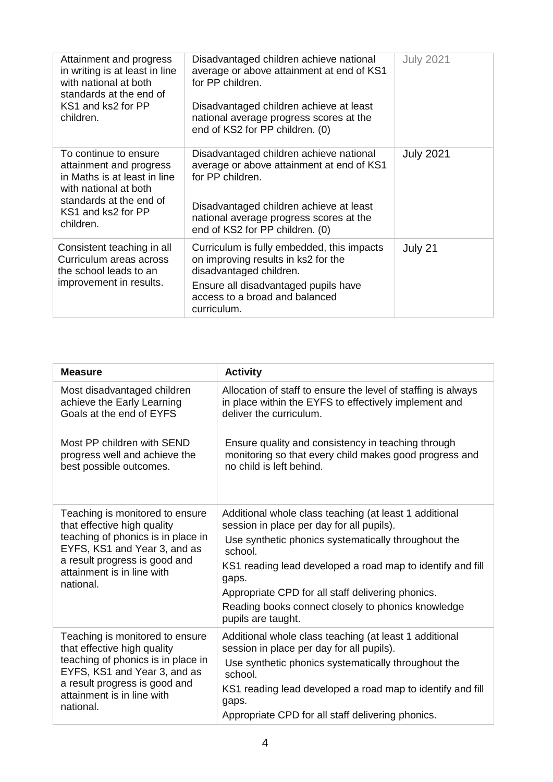| Attainment and progress<br>in writing is at least in line<br>with national at both<br>standards at the end of<br>KS1 and ks2 for PP<br>children.                        | Disadvantaged children achieve national<br>average or above attainment at end of KS1<br>for PP children.<br>Disadvantaged children achieve at least<br>national average progress scores at the<br>end of KS2 for PP children. (0) | <b>July 2021</b> |
|-------------------------------------------------------------------------------------------------------------------------------------------------------------------------|-----------------------------------------------------------------------------------------------------------------------------------------------------------------------------------------------------------------------------------|------------------|
| To continue to ensure<br>attainment and progress<br>in Maths is at least in line<br>with national at both<br>standards at the end of<br>KS1 and ks2 for PP<br>children. | Disadvantaged children achieve national<br>average or above attainment at end of KS1<br>for PP children.<br>Disadvantaged children achieve at least<br>national average progress scores at the<br>end of KS2 for PP children. (0) | <b>July 2021</b> |
| Consistent teaching in all<br>Curriculum areas across<br>the school leads to an<br>improvement in results.                                                              | Curriculum is fully embedded, this impacts<br>on improving results in ks2 for the<br>disadvantaged children.<br>Ensure all disadvantaged pupils have<br>access to a broad and balanced<br>curriculum.                             | July 21          |

| <b>Measure</b>                                                                                                                                                                                                   | <b>Activity</b>                                                                                                                                                                                         |
|------------------------------------------------------------------------------------------------------------------------------------------------------------------------------------------------------------------|---------------------------------------------------------------------------------------------------------------------------------------------------------------------------------------------------------|
| Most disadvantaged children<br>achieve the Early Learning<br>Goals at the end of EYFS<br>Most PP children with SEND                                                                                              | Allocation of staff to ensure the level of staffing is always<br>in place within the EYFS to effectively implement and<br>deliver the curriculum.<br>Ensure quality and consistency in teaching through |
| progress well and achieve the<br>best possible outcomes.                                                                                                                                                         | monitoring so that every child makes good progress and<br>no child is left behind.                                                                                                                      |
| Teaching is monitored to ensure<br>that effective high quality<br>teaching of phonics is in place in<br>EYFS, KS1 and Year 3, and as<br>a result progress is good and<br>attainment is in line with<br>national. | Additional whole class teaching (at least 1 additional<br>session in place per day for all pupils).                                                                                                     |
|                                                                                                                                                                                                                  | Use synthetic phonics systematically throughout the<br>school.                                                                                                                                          |
|                                                                                                                                                                                                                  | KS1 reading lead developed a road map to identify and fill<br>gaps.                                                                                                                                     |
|                                                                                                                                                                                                                  | Appropriate CPD for all staff delivering phonics.                                                                                                                                                       |
|                                                                                                                                                                                                                  | Reading books connect closely to phonics knowledge<br>pupils are taught.                                                                                                                                |
| Teaching is monitored to ensure<br>that effective high quality<br>teaching of phonics is in place in<br>EYFS, KS1 and Year 3, and as<br>a result progress is good and<br>attainment is in line with<br>national. | Additional whole class teaching (at least 1 additional<br>session in place per day for all pupils).                                                                                                     |
|                                                                                                                                                                                                                  | Use synthetic phonics systematically throughout the<br>school.                                                                                                                                          |
|                                                                                                                                                                                                                  | KS1 reading lead developed a road map to identify and fill<br>gaps.                                                                                                                                     |
|                                                                                                                                                                                                                  | Appropriate CPD for all staff delivering phonics.                                                                                                                                                       |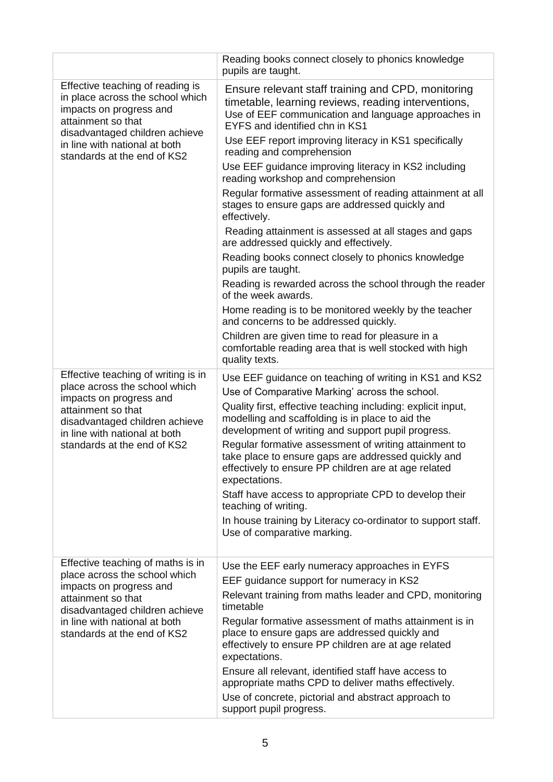| Reading books connect closely to phonics knowledge<br>pupils are taught.                                                                                                                                                                                                                                                                                                                                                                                                                                                                                                                                                                                    |
|-------------------------------------------------------------------------------------------------------------------------------------------------------------------------------------------------------------------------------------------------------------------------------------------------------------------------------------------------------------------------------------------------------------------------------------------------------------------------------------------------------------------------------------------------------------------------------------------------------------------------------------------------------------|
| Ensure relevant staff training and CPD, monitoring<br>timetable, learning reviews, reading interventions,<br>Use of EEF communication and language approaches in<br>EYFS and identified chn in KS1                                                                                                                                                                                                                                                                                                                                                                                                                                                          |
| Use EEF report improving literacy in KS1 specifically<br>reading and comprehension                                                                                                                                                                                                                                                                                                                                                                                                                                                                                                                                                                          |
| Use EEF guidance improving literacy in KS2 including<br>reading workshop and comprehension                                                                                                                                                                                                                                                                                                                                                                                                                                                                                                                                                                  |
| Regular formative assessment of reading attainment at all<br>stages to ensure gaps are addressed quickly and<br>effectively.                                                                                                                                                                                                                                                                                                                                                                                                                                                                                                                                |
| Reading attainment is assessed at all stages and gaps<br>are addressed quickly and effectively.                                                                                                                                                                                                                                                                                                                                                                                                                                                                                                                                                             |
| Reading books connect closely to phonics knowledge<br>pupils are taught.                                                                                                                                                                                                                                                                                                                                                                                                                                                                                                                                                                                    |
| Reading is rewarded across the school through the reader<br>of the week awards.                                                                                                                                                                                                                                                                                                                                                                                                                                                                                                                                                                             |
| Home reading is to be monitored weekly by the teacher<br>and concerns to be addressed quickly.                                                                                                                                                                                                                                                                                                                                                                                                                                                                                                                                                              |
| Children are given time to read for pleasure in a<br>comfortable reading area that is well stocked with high<br>quality texts.                                                                                                                                                                                                                                                                                                                                                                                                                                                                                                                              |
| Use EEF guidance on teaching of writing in KS1 and KS2<br>Use of Comparative Marking' across the school.<br>Quality first, effective teaching including: explicit input,<br>modelling and scaffolding is in place to aid the<br>development of writing and support pupil progress.<br>Regular formative assessment of writing attainment to<br>take place to ensure gaps are addressed quickly and<br>effectively to ensure PP children are at age related<br>expectations.<br>Staff have access to appropriate CPD to develop their<br>teaching of writing.<br>In house training by Literacy co-ordinator to support staff.<br>Use of comparative marking. |
| Use the EEF early numeracy approaches in EYFS<br>EEF guidance support for numeracy in KS2<br>Relevant training from maths leader and CPD, monitoring<br>timetable<br>Regular formative assessment of maths attainment is in<br>place to ensure gaps are addressed quickly and<br>effectively to ensure PP children are at age related<br>expectations.<br>Ensure all relevant, identified staff have access to<br>appropriate maths CPD to deliver maths effectively.<br>Use of concrete, pictorial and abstract approach to<br>support pupil progress.                                                                                                     |
|                                                                                                                                                                                                                                                                                                                                                                                                                                                                                                                                                                                                                                                             |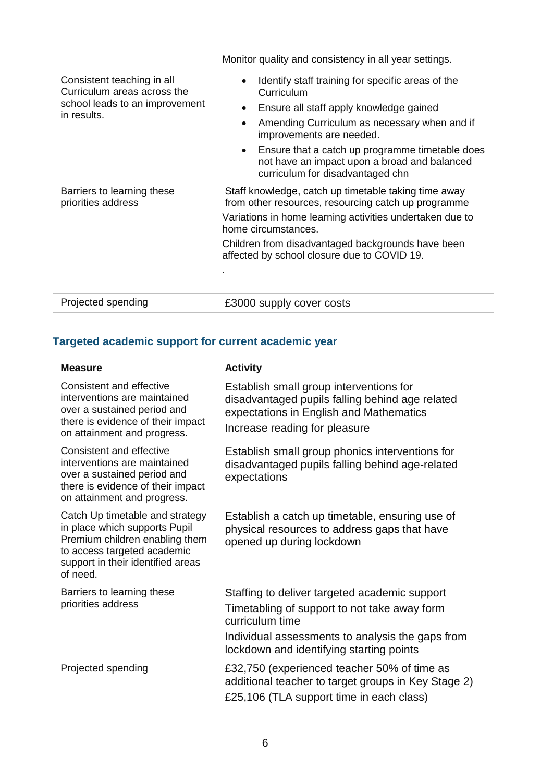|                                                                                                            | Monitor quality and consistency in all year settings.                                                                                                                                                                                                                                                                                                                             |
|------------------------------------------------------------------------------------------------------------|-----------------------------------------------------------------------------------------------------------------------------------------------------------------------------------------------------------------------------------------------------------------------------------------------------------------------------------------------------------------------------------|
| Consistent teaching in all<br>Curriculum areas across the<br>school leads to an improvement<br>in results. | Identify staff training for specific areas of the<br>$\bullet$<br>Curriculum<br>Ensure all staff apply knowledge gained<br>$\bullet$<br>Amending Curriculum as necessary when and if<br>$\bullet$<br>improvements are needed.<br>Ensure that a catch up programme timetable does<br>$\bullet$<br>not have an impact upon a broad and balanced<br>curriculum for disadvantaged chn |
| Barriers to learning these<br>priorities address                                                           | Staff knowledge, catch up timetable taking time away<br>from other resources, resourcing catch up programme<br>Variations in home learning activities undertaken due to<br>home circumstances.<br>Children from disadvantaged backgrounds have been<br>affected by school closure due to COVID 19.                                                                                |
| Projected spending                                                                                         | £3000 supply cover costs                                                                                                                                                                                                                                                                                                                                                          |

### **Targeted academic support for current academic year**

| <b>Measure</b>                                                                                                                                                                     | <b>Activity</b>                                                                                                                                                                                                  |
|------------------------------------------------------------------------------------------------------------------------------------------------------------------------------------|------------------------------------------------------------------------------------------------------------------------------------------------------------------------------------------------------------------|
| Consistent and effective<br>interventions are maintained<br>over a sustained period and<br>there is evidence of their impact<br>on attainment and progress.                        | Establish small group interventions for<br>disadvantaged pupils falling behind age related<br>expectations in English and Mathematics<br>Increase reading for pleasure                                           |
| Consistent and effective<br>interventions are maintained<br>over a sustained period and<br>there is evidence of their impact<br>on attainment and progress.                        | Establish small group phonics interventions for<br>disadvantaged pupils falling behind age-related<br>expectations                                                                                               |
| Catch Up timetable and strategy<br>in place which supports Pupil<br>Premium children enabling them<br>to access targeted academic<br>support in their identified areas<br>of need. | Establish a catch up timetable, ensuring use of<br>physical resources to address gaps that have<br>opened up during lockdown                                                                                     |
| Barriers to learning these<br>priorities address                                                                                                                                   | Staffing to deliver targeted academic support<br>Timetabling of support to not take away form<br>curriculum time<br>Individual assessments to analysis the gaps from<br>lockdown and identifying starting points |
| Projected spending                                                                                                                                                                 | £32,750 (experienced teacher 50% of time as<br>additional teacher to target groups in Key Stage 2)<br>£25,106 (TLA support time in each class)                                                                   |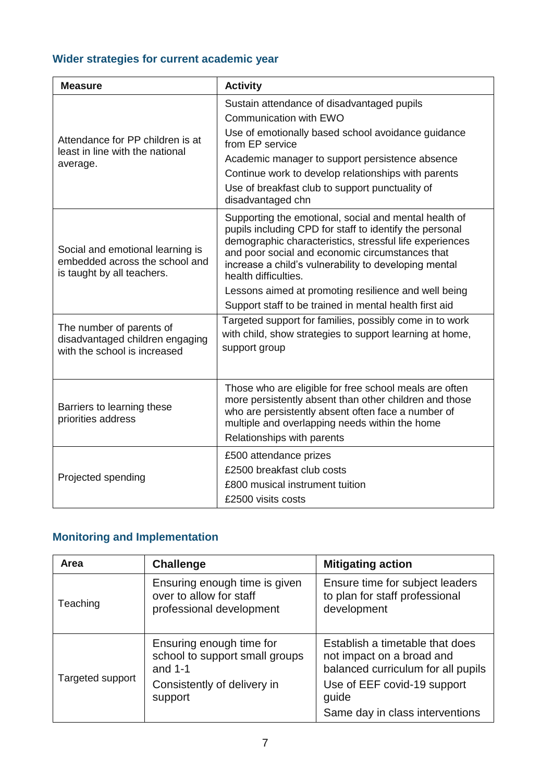### **Wider strategies for current academic year**

| <b>Measure</b>                                                                                   | <b>Activity</b>                                                                                                                                                                                                                                                                                                                                                                                                                   |
|--------------------------------------------------------------------------------------------------|-----------------------------------------------------------------------------------------------------------------------------------------------------------------------------------------------------------------------------------------------------------------------------------------------------------------------------------------------------------------------------------------------------------------------------------|
| Attendance for PP children is at<br>least in line with the national<br>average.                  | Sustain attendance of disadvantaged pupils<br>Communication with EWO<br>Use of emotionally based school avoidance guidance<br>from EP service<br>Academic manager to support persistence absence<br>Continue work to develop relationships with parents<br>Use of breakfast club to support punctuality of<br>disadvantaged chn                                                                                                   |
| Social and emotional learning is<br>embedded across the school and<br>is taught by all teachers. | Supporting the emotional, social and mental health of<br>pupils including CPD for staff to identify the personal<br>demographic characteristics, stressful life experiences<br>and poor social and economic circumstances that<br>increase a child's vulnerability to developing mental<br>health difficulties.<br>Lessons aimed at promoting resilience and well being<br>Support staff to be trained in mental health first aid |
| The number of parents of<br>disadvantaged children engaging<br>with the school is increased      | Targeted support for families, possibly come in to work<br>with child, show strategies to support learning at home,<br>support group                                                                                                                                                                                                                                                                                              |
| Barriers to learning these<br>priorities address                                                 | Those who are eligible for free school meals are often<br>more persistently absent than other children and those<br>who are persistently absent often face a number of<br>multiple and overlapping needs within the home<br>Relationships with parents                                                                                                                                                                            |
| Projected spending                                                                               | £500 attendance prizes<br>£2500 breakfast club costs<br>£800 musical instrument tuition<br>£2500 visits costs                                                                                                                                                                                                                                                                                                                     |

# **Monitoring and Implementation**

| Area             | <b>Challenge</b>                                                                     | <b>Mitigating action</b>                                                                           |
|------------------|--------------------------------------------------------------------------------------|----------------------------------------------------------------------------------------------------|
| Teaching         | Ensuring enough time is given<br>over to allow for staff<br>professional development | Ensure time for subject leaders<br>to plan for staff professional<br>development                   |
| Targeted support | Ensuring enough time for<br>school to support small groups<br>and $1-1$              | Establish a timetable that does<br>not impact on a broad and<br>balanced curriculum for all pupils |
|                  | Consistently of delivery in<br>support                                               | Use of EEF covid-19 support<br>guide                                                               |
|                  |                                                                                      | Same day in class interventions                                                                    |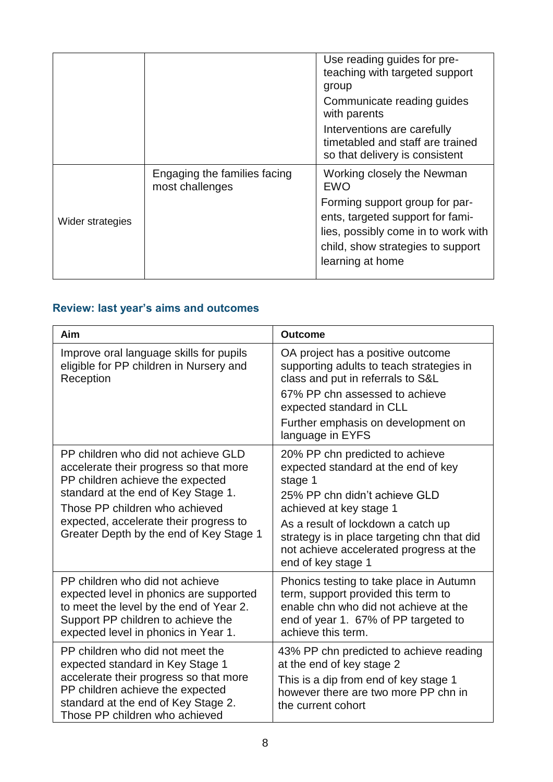|                  |                                                 | Use reading guides for pre-<br>teaching with targeted support<br>group<br>Communicate reading guides<br>with parents                                               |
|------------------|-------------------------------------------------|--------------------------------------------------------------------------------------------------------------------------------------------------------------------|
|                  |                                                 | Interventions are carefully<br>timetabled and staff are trained<br>so that delivery is consistent                                                                  |
|                  | Engaging the families facing<br>most challenges | Working closely the Newman<br><b>EWO</b>                                                                                                                           |
| Wider strategies |                                                 | Forming support group for par-<br>ents, targeted support for fami-<br>lies, possibly come in to work with<br>child, show strategies to support<br>learning at home |

### **Review: last year's aims and outcomes**

| Aim                                                                                                                                                                                                                                                                             | <b>Outcome</b>                                                                                                                                                                                                                                                                                      |
|---------------------------------------------------------------------------------------------------------------------------------------------------------------------------------------------------------------------------------------------------------------------------------|-----------------------------------------------------------------------------------------------------------------------------------------------------------------------------------------------------------------------------------------------------------------------------------------------------|
| Improve oral language skills for pupils<br>eligible for PP children in Nursery and<br>Reception                                                                                                                                                                                 | OA project has a positive outcome<br>supporting adults to teach strategies in<br>class and put in referrals to S&L<br>67% PP chn assessed to achieve<br>expected standard in CLL<br>Further emphasis on development on<br>language in EYFS                                                          |
| PP children who did not achieve GLD<br>accelerate their progress so that more<br>PP children achieve the expected<br>standard at the end of Key Stage 1.<br>Those PP children who achieved<br>expected, accelerate their progress to<br>Greater Depth by the end of Key Stage 1 | 20% PP chn predicted to achieve<br>expected standard at the end of key<br>stage 1<br>25% PP chn didn't achieve GLD<br>achieved at key stage 1<br>As a result of lockdown a catch up<br>strategy is in place targeting chn that did<br>not achieve accelerated progress at the<br>end of key stage 1 |
| PP children who did not achieve<br>expected level in phonics are supported<br>to meet the level by the end of Year 2.<br>Support PP children to achieve the<br>expected level in phonics in Year 1.                                                                             | Phonics testing to take place in Autumn<br>term, support provided this term to<br>enable chn who did not achieve at the<br>end of year 1. 67% of PP targeted to<br>achieve this term.                                                                                                               |
| PP children who did not meet the<br>expected standard in Key Stage 1<br>accelerate their progress so that more<br>PP children achieve the expected<br>standard at the end of Key Stage 2.<br>Those PP children who achieved                                                     | 43% PP chn predicted to achieve reading<br>at the end of key stage 2<br>This is a dip from end of key stage 1<br>however there are two more PP chn in<br>the current cohort                                                                                                                         |